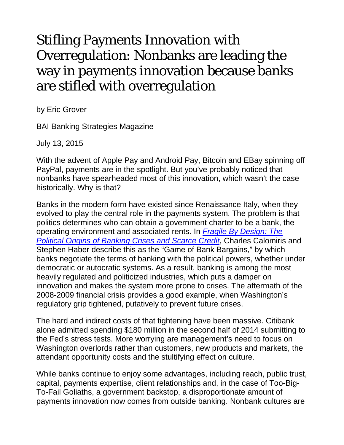## Stifling Payments Innovation with Overregulation: Nonbanks are leading the way in payments innovation because banks are stifled with overregulation

by Eric Grover

BAI Banking Strategies Magazine

July 13, 2015

With the advent of Apple Pay and Android Pay, Bitcoin and EBay spinning off PayPal, payments are in the spotlight. But you've probably noticed that nonbanks have spearheaded most of this innovation, which wasn't the case historically. Why is that?

Banks in the modern form have existed since Renaissance Italy, when they evolved to play the central role in the payments system. The problem is that politics determines who can obtain a government charter to be a bank, the operating environment and associated rents. In *[Fragile By Design: The](http://www.amazon.com/Fragile-Design-Political-Princeton-Economic-ebook/dp/B00GMSUUVS/ref=sr_1_1?s=books&ie=UTF8&qid=1430350744&sr=1-1&keywords=fragile+by+design)  [Political Origins of Banking Crises and Scarce Credit](http://www.amazon.com/Fragile-Design-Political-Princeton-Economic-ebook/dp/B00GMSUUVS/ref=sr_1_1?s=books&ie=UTF8&qid=1430350744&sr=1-1&keywords=fragile+by+design)*, Charles Calomiris and Stephen Haber describe this as the "Game of Bank Bargains," by which banks negotiate the terms of banking with the political powers, whether under democratic or autocratic systems. As a result, banking is among the most heavily regulated and politicized industries, which puts a damper on innovation and makes the system more prone to crises. The aftermath of the 2008-2009 financial crisis provides a good example, when Washington's regulatory grip tightened, putatively to prevent future crises.

The hard and indirect costs of that tightening have been massive. Citibank alone admitted spending \$180 million in the second half of 2014 submitting to the Fed's stress tests. More worrying are management's need to focus on Washington overlords rather than customers, new products and markets, the attendant opportunity costs and the stultifying effect on culture.

While banks continue to enjoy some advantages, including reach, public trust, capital, payments expertise, client relationships and, in the case of Too-Big-To-Fail Goliaths, a government backstop, a disproportionate amount of payments innovation now comes from outside banking. Nonbank cultures are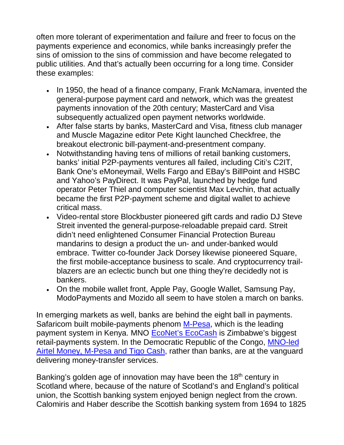often more tolerant of experimentation and failure and freer to focus on the payments experience and economics, while banks increasingly prefer the sins of omission to the sins of commission and have become relegated to public utilities. And that's actually been occurring for a long time. Consider these examples:

- In 1950, the head of a finance company, Frank McNamara, invented the general-purpose payment card and network, which was the greatest payments innovation of the 20th century; MasterCard and Visa subsequently actualized open payment networks worldwide.
- After false starts by banks, MasterCard and Visa, fitness club manager and Muscle Magazine editor Pete Kight launched Checkfree, the breakout electronic bill-payment-and-presentment company.
- Notwithstanding having tens of millions of retail banking customers, banks' initial P2P-payments ventures all failed, including Citi's C2IT, Bank One's eMoneymail, Wells Fargo and EBay's BillPoint and HSBC and Yahoo's PayDirect. It was PayPal, launched by hedge fund operator Peter Thiel and computer scientist Max Levchin, that actually became the first P2P-payment scheme and digital wallet to achieve critical mass.
- Video-rental store Blockbuster pioneered gift cards and radio DJ Steve Streit invented the general-purpose-reloadable prepaid card. Streit didn't need enlightened Consumer Financial Protection Bureau mandarins to design a product the un- and under-banked would embrace. Twitter co-founder Jack Dorsey likewise pioneered Square, the first mobile-acceptance business to scale. And cryptocurrency trailblazers are an eclectic bunch but one thing they're decidedly not is bankers.
- On the mobile wallet front, Apple Pay, Google Wallet, Samsung Pay, ModoPayments and Mozido all seem to have stolen a march on banks.

In emerging markets as well, banks are behind the eight ball in payments. Safaricom built mobile-payments phenom [M-Pesa,](http://en.wikipedia.org/wiki/M-Pesa) which is the leading payment system in Kenya. MNO [EcoNet's EcoCash](https://www.econet.co.zw/ecocash/) is Zimbabwe's biggest retail-payments system. In the Democratic Republic of the Congo, [MNO-led](http://www.gsma.com/mobilefordevelopment/wp-content/uploads/2013/07/Mobile-Money-in-the-DRC_July-2013.pdf)  [Airtel Money, M-Pesa and Tigo Cash,](http://www.gsma.com/mobilefordevelopment/wp-content/uploads/2013/07/Mobile-Money-in-the-DRC_July-2013.pdf) rather than banks, are at the vanguard delivering money-transfer services.

Banking's golden age of innovation may have been the  $18<sup>th</sup>$  century in Scotland where, because of the nature of Scotland's and England's political union, the Scottish banking system enjoyed benign neglect from the crown. Calomiris and Haber describe the Scottish banking system from 1694 to 1825